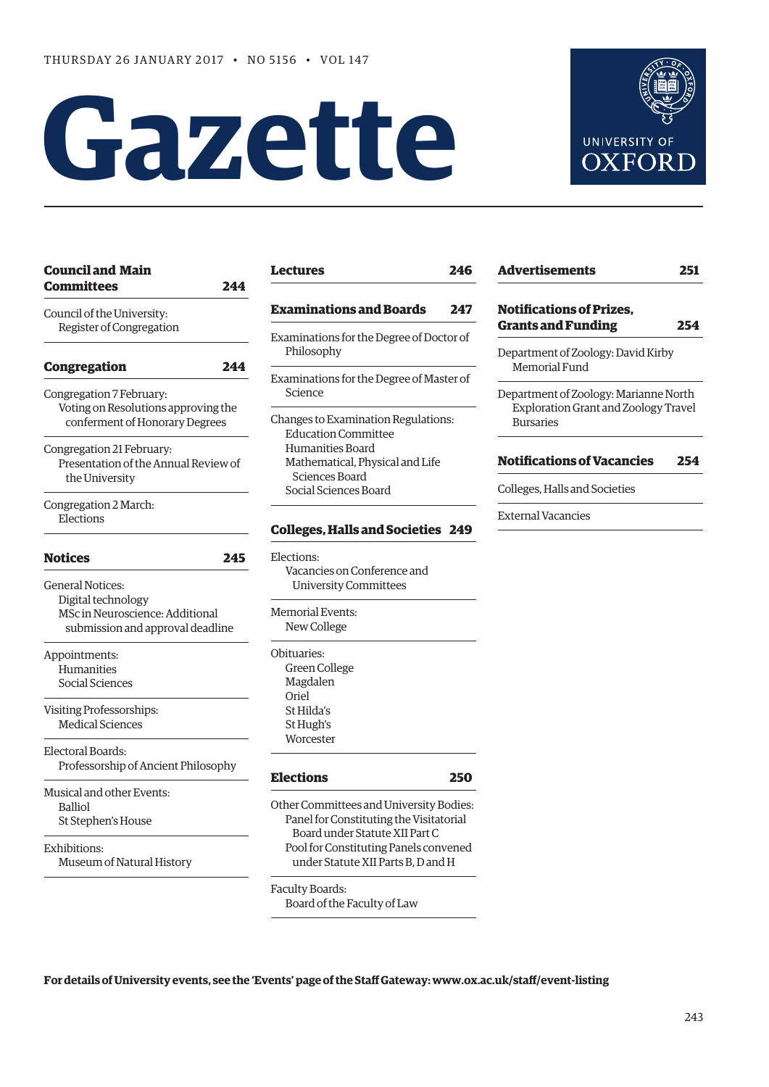# **Gazette**



| <b>Council and Main</b><br>Committees                                                                                | 244 |
|----------------------------------------------------------------------------------------------------------------------|-----|
| Council of the University:<br>Register of Congregation                                                               |     |
| <b>Congregation</b>                                                                                                  | 244 |
| Congregation 7 February:<br>Voting on Resolutions approving the<br>conferment of Honorary Degrees                    |     |
| Congregation 21 February:<br>Presentation of the Annual Review of<br>the University                                  |     |
| Congregation 2 March:<br>Elections                                                                                   |     |
| Notices                                                                                                              | 245 |
| <b>General Notices:</b><br>Digital technology<br>MSc in Neuroscience: Additional<br>submission and approval deadline |     |
| Appointments:<br>Humanities<br>Social Sciences                                                                       |     |
| Visiting Professorships:<br><b>Medical Sciences</b>                                                                  |     |
| Electoral Boards:<br>Professorship of Ancient Philosophy                                                             |     |
| Musical and other Events:<br><b>Balliol</b><br>St Stephen's House                                                    |     |
| Exhibitions:<br>Museum of Natural History                                                                            |     |

| <b>Examinations and Boards</b><br>247                                                                                                                               |
|---------------------------------------------------------------------------------------------------------------------------------------------------------------------|
| Examinations for the Degree of Doctor of<br>Philosophy                                                                                                              |
| Examinations for the Degree of Master of<br>Science                                                                                                                 |
| Changes to Examination Regulations:<br><b>Education Committee</b><br>Humanities Board<br>Mathematical, Physical and Life<br>Sciences Board<br>Social Sciences Board |
| <b>Colleges, Halls and Societies 249</b>                                                                                                                            |
| Elections:                                                                                                                                                          |
| Vacancies on Conference and<br><b>University Committees</b>                                                                                                         |
| <b>Memorial Events:</b>                                                                                                                                             |
| New College                                                                                                                                                         |
| Obituaries:                                                                                                                                                         |
| <b>Green College</b>                                                                                                                                                |
| Magdalen                                                                                                                                                            |
| Oriel                                                                                                                                                               |
| St Hilda's                                                                                                                                                          |
| St Hugh's<br>Worcester                                                                                                                                              |
|                                                                                                                                                                     |

**[Lectures](#page-3-0) 246**

# **[Advertisements](#page-9-0) 251 [Notifications of Prizes,](#page-11-0)  Grants and Funding 254** Department of Zoology: David Kirby Memorial Fund Department of Zoology: Marianne North Exploration Grant and Zoology Travel Bursaries **[Notifications of Vacancies 254](#page-11-0)** Colleges, Halls and Societies

External Vacancies

**[Elections](#page-7-0) 250** Other Committees and University Bodies: Panel for Constituting the Visitatorial Board under Statute XII Part C Pool for Constituting Panels convened under Statute XII Parts B, D and H

Faculty Boards: Board of the Faculty of Law

**For details of University events, see the 'Events' page of the Staff Gateway: [www.ox.ac.uk/staff/event-listing](http://www.ox.ac.uk/staff/event-listing)**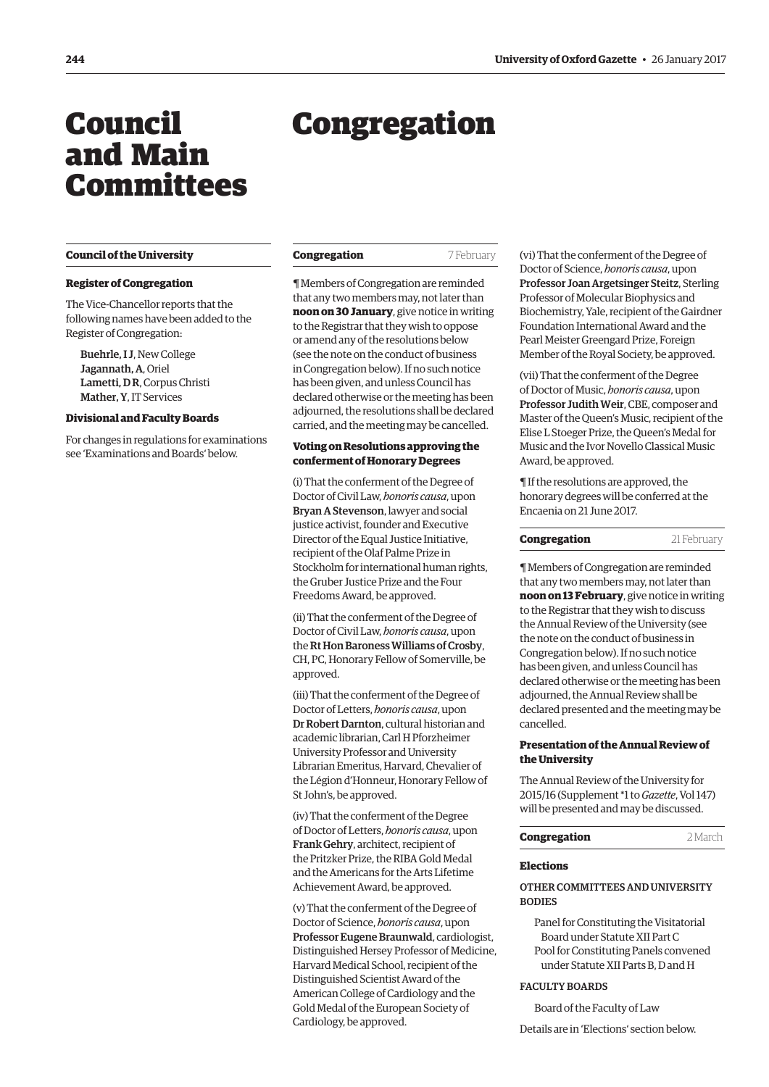# <span id="page-1-0"></span>Council and Main Committees

# Congregation

#### **Council of the University**

# **Register of Congregation**

The Vice-Chancellor reports that the following names have been added to the Register of Congregation:

Buehrle, I J, New College Jagannath, A, Oriel Lametti, D R, Corpus Christi Mather, Y, IT Services

# **Divisional and Faculty Boards**

For changes in regulations for examinations see 'Examinations and Boards' below.

#### **Congregation** 7 February

¶ Members of Congregation are reminded that any two members may, not later than **noon on 30 January**, give notice in writing to the Registrar that they wish to oppose or amend any of the resolutions below (see the note on the conduct of business in Congregation below). If no such notice has been given, and unless Council has declared otherwise or the meeting has been adjourned, the resolutions shall be declared carried, and the meeting may be cancelled.

# **Voting on Resolutions approving the conferment of Honorary Degrees**

(i) That the conferment of the Degree of Doctor of Civil Law, *honoris causa*, upon Bryan A Stevenson, lawyer and social justice activist, founder and Executive Director of the Equal Justice Initiative, recipient of the Olaf Palme Prize in Stockholm for international human rights, the Gruber Justice Prize and the Four Freedoms Award, be approved.

(ii) That the conferment of the Degree of Doctor of Civil Law, *honoris causa*, upon the Rt Hon Baroness Williams of Crosby, CH, PC, Honorary Fellow of Somerville, be approved.

(iii) That the conferment of the Degree of Doctor of Letters, *honoris causa*, upon Dr Robert Darnton, cultural historian and academic librarian, Carl H Pforzheimer University Professor and University Librarian Emeritus, Harvard, Chevalier of the Légion d'Honneur, Honorary Fellow of St John's, be approved.

(iv) That the conferment of the Degree of Doctor of Letters, *honoris causa*, upon Frank Gehry, architect, recipient of the Pritzker Prize, the RIBA Gold Medal and the Americans for the Arts Lifetime Achievement Award, be approved.

(v) That the conferment of the Degree of Doctor of Science, *honoris causa*, upon Professor Eugene Braunwald, cardiologist, Distinguished Hersey Professor of Medicine, Harvard Medical School, recipient of the Distinguished Scientist Award of the American College of Cardiology and the Gold Medal of the European Society of Cardiology, be approved.

(vi) That the conferment of the Degree of Doctor of Science, *honoris causa*, upon Professor Joan Argetsinger Steitz, Sterling Professor of Molecular Biophysics and Biochemistry, Yale, recipient of the Gairdner Foundation International Award and the Pearl Meister Greengard Prize, Foreign Member of the Royal Society, be approved.

(vii) That the conferment of the Degree of Doctor of Music, *honoris causa*, upon Professor Judith Weir, CBE, composer and Master of the Queen's Music, recipient of the Elise L Stoeger Prize, the Queen's Medal for Music and the Ivor Novello Classical Music Award, be approved.

¶ If the resolutions are approved, the honorary degrees will be conferred at the Encaenia on 21 June 2017.

| Congregation | 21 February |
|--------------|-------------|
|--------------|-------------|

¶ Members of Congregation are reminded that any two members may, not later than **noon on 13 February**, give notice in writing to the Registrar that they wish to discuss the Annual Review of the University (see the note on the conduct of business in Congregation below). If no such notice has been given, and unless Council has declared otherwise or the meeting has been adjourned, the Annual Review shall be declared presented and the meeting may be cancelled.

# **Presentation of the Annual Review of the University**

The Annual Review of the University for 2015/16 ([Supplement \\*1 to](http://www.ox.ac.uk/about/organisation/annual-review) *Gazette*, Vol 147) will be presented and may be discussed.

| Congregation | 2 March |
|--------------|---------|
|              |         |

#### **Elections**

# OTHER COMMITTEES AND UNIVERSITY **BODIES**

Panel for Constituting the Visitatorial Board under Statute XII Part C Pool for Constituting Panels convened under Statute XII Parts B, D and H

# FACULTY BOARDS

Board of the Faculty of Law

Details are in 'Elections' section below.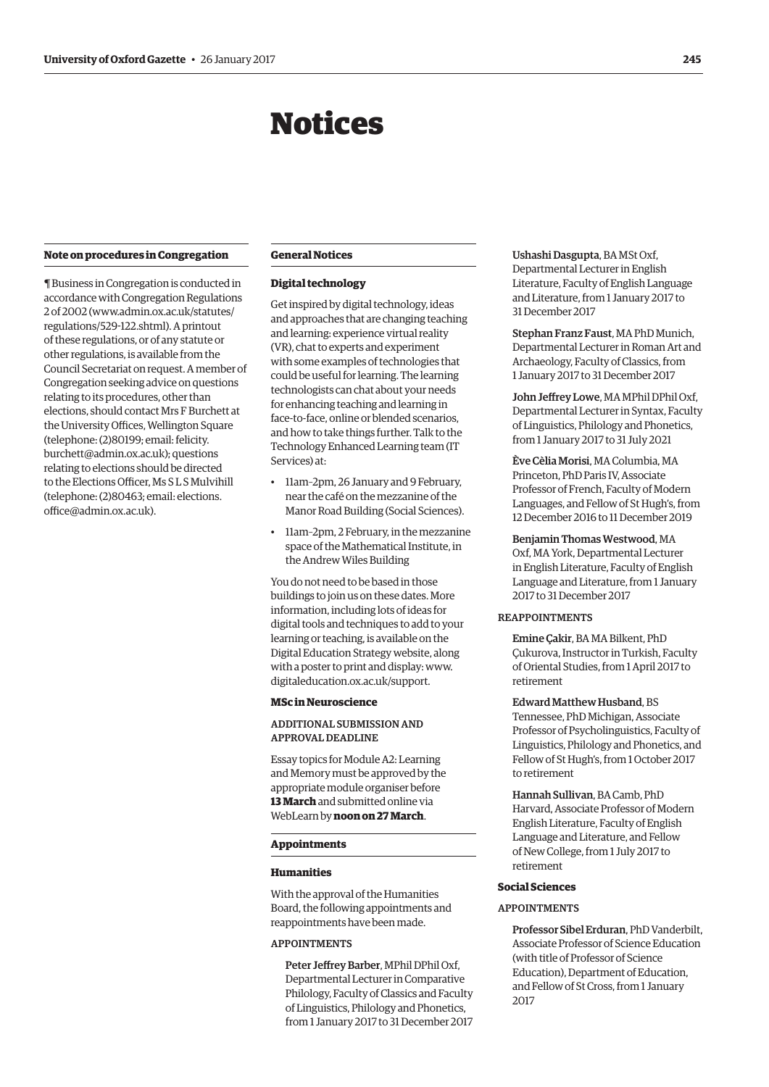# Notices

#### <span id="page-2-0"></span>**Note on procedures in Congregation**

¶ Business in Congregation is conducted in accordance with Congregation Regulations 2 of 2002 [\(www.admin.ox.ac.uk/statutes/](http://www.admin.ox.ac.uk/statutes/regulations/529-122.shtml) [regulations/529-122.shtml\). A](http://www.admin.ox.ac.uk/statutes/regulations/529-122.shtml) printout of these regulations, or of any statute or other regulations, is available from the Council Secretariat on request. A member of Congregation seeking advice on questions relating to its procedures, other than elections, should contact Mrs F Burchett at the University Offices, Wellington Square (telephone: (2)80199; email: felicity. [burchett@admin.ox.ac.uk\); questions](mailto:felicity.burchett@admin.ox.ac.uk)  relating to elections should be directed to the Elections Officer, Ms S L S Mulvihill [\(telephone: \(2\)80463; email: elections.](mailto:elections.office@admin.ox.ac.uk) office@admin.ox.ac.uk).

## **General Notices**

# **Digital technology**

Get inspired by digital technology, ideas and approaches that are changing teaching and learning: experience virtual reality (VR), chat to experts and experiment with some examples of technologies that could be useful for learning. The learning technologists can chat about your needs for enhancing teaching and learning in face-to-face, online or blended scenarios, and how to take things further. Talk to the Technology Enhanced Learning team (IT Services) at:

- 11am–2pm, 26 January and 9 February, near the café on the mezzanine of the Manor Road Building (Social Sciences).
- 11am–2pm, 2 February, in the mezzanine space of the Mathematical Institute, in the Andrew Wiles Building

You do not need to be based in those buildings to join us on these dates. More information, including lots of ideas for digital tools and techniques to add to your learning or teaching, is available on the Digital Education Strategy website, along with a poster to print and display: [www.](http://www.digitaleducation.ox.ac.uk/support) [digitaleducation.ox.ac.uk/support.](http://www.digitaleducation.ox.ac.uk/support)

#### **MSc in Neuroscience**

# ADDITIONAL SUBMISSION AND APPROVAL DEADLINE

Essay topics for Module A2: Learning and Memory must be approved by the appropriate module organiser before **13 March** and submitted online via WebLearn by **noon on 27 March**.

#### **Appointments**

#### **Humanities**

With the approval of the Humanities Board, the following appointments and reappointments have been made.

# APPOINTMENTS

Peter Jeffrey Barber, MPhil DPhil Oxf, Departmental Lecturer in Comparative Philology, Faculty of Classics and Faculty of Linguistics, Philology and Phonetics, from 1 January 2017 to 31 December 2017

Ushashi Dasgupta, BA MSt Oxf, Departmental Lecturer in English Literature, Faculty of English Language and Literature, from 1 January 2017 to 31 December 2017

Stephan Franz Faust, MA PhD Munich, Departmental Lecturer in Roman Art and Archaeology, Faculty of Classics, from 1 January 2017 to 31 December 2017

John Jeffrey Lowe, MA MPhil DPhil Oxf, Departmental Lecturer in Syntax, Faculty of Linguistics, Philology and Phonetics, from 1 January 2017 to 31 July 2021

Ève Cèlia Morisi, MA Columbia, MA Princeton, PhD Paris IV, Associate Professor of French, Faculty of Modern Languages, and Fellow of St Hugh's, from 12 December 2016 to 11 December 2019

# Benjamin Thomas Westwood, MA

Oxf, MA York, Departmental Lecturer in English Literature, Faculty of English Language and Literature, from 1 January 2017 to 31 December 2017

# REAPPOINTMENTS

Emine Çakir, BA MA Bilkent, PhD Çukurova, Instructor in Turkish, Faculty of Oriental Studies, from 1 April 2017 to retirement

Edward Matthew Husband, BS Tennessee, PhD Michigan, Associate Professor of Psycholinguistics, Faculty of Linguistics, Philology and Phonetics, and Fellow of St Hugh's, from 1 October 2017 to retirement

Hannah Sullivan, BA Camb, PhD Harvard, Associate Professor of Modern English Literature, Faculty of English Language and Literature, and Fellow of New College, from 1 July 2017 to retirement

#### **Social Sciences**

#### APPOINTMENTS

Professor Sibel Erduran, PhD Vanderbilt, Associate Professor of Science Education (with title of Professor of Science Education), Department of Education, and Fellow of St Cross, from 1 January 2017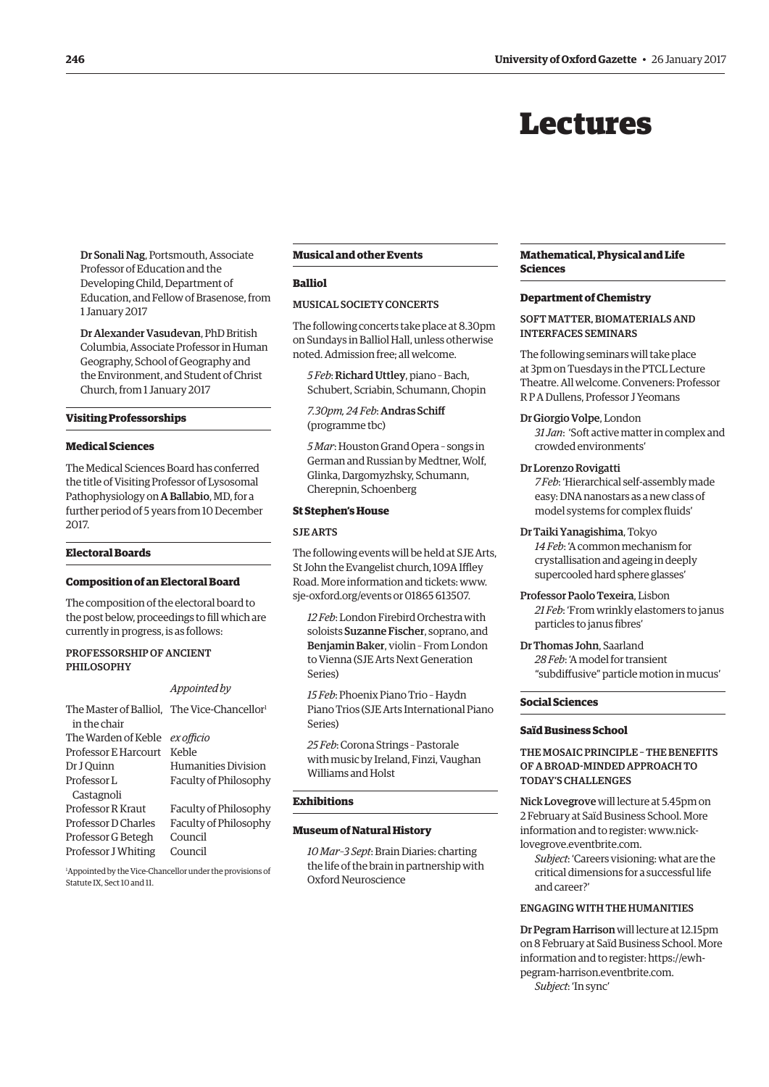# Lectures

<span id="page-3-0"></span>Dr Sonali Nag, Portsmouth, Associate Professor of Education and the Developing Child, Department of Education, and Fellow of Brasenose, from 1 January 2017

Dr Alexander Vasudevan, PhD British Columbia, Associate Professor in Human Geography, School of Geography and the Environment, and Student of Christ Church, from 1 January 2017

#### **Visiting Professorships**

# **Medical Sciences**

The Medical Sciences Board has conferred the title of Visiting Professor of Lysosomal Pathophysiology on A Ballabio, MD, for a further period of 5 years from 10 December 2017.

#### **Electoral Boards**

#### **Composition of an Electoral Board**

The composition of the electoral board to the post below, proceedings to fill which are currently in progress, is as follows:

# PROFESSORSHIP OF ANCIENT PHILOSOPHY

#### *Appointed by*

| The Master of Balliol, The Vice-Chancellor <sup>1</sup> |                                                          |
|---------------------------------------------------------|----------------------------------------------------------|
| in the chair                                            |                                                          |
| The Warden of Keble                                     | ex officio                                               |
| Professor E Harcourt                                    | Keble                                                    |
| Dr J Ouinn                                              | Humanities Division                                      |
| Professor L                                             | Faculty of Philosophy                                    |
| Castagnoli                                              |                                                          |
| Professor R Kraut                                       | Faculty of Philosophy                                    |
| Professor D Charles                                     | Faculty of Philosophy                                    |
| Professor G Betegh                                      | Council                                                  |
| Professor J Whiting                                     | Council                                                  |
|                                                         | Lappointed by the Vice Chancellorunder the previousne of |

1 Appointed by the Vice-Chancellor under the provisions of Statute IX, Sect 10 and 11.

#### **Musical and other Events**

# **Balliol**

#### MUSICAL SOCIETY CONCERTS

The following concerts take place at 8.30pm on Sundays in Balliol Hall, unless otherwise noted. Admission free; all welcome.

*5 Feb*: Richard Uttley, piano – Bach, Schubert, Scriabin, Schumann, Chopin

*7.30pm, 24 Feb*: Andras Schiff (programme tbc)

*5 Mar*: Houston Grand Opera – songs in German and Russian by Medtner, Wolf, Glinka, Dargomyzhsky, Schumann, Cherepnin, Schoenberg

#### **St Stephen's House**

# SJE ARTS

The following events will be held at SJE Arts, St John the Evangelist church, 109A Iffley Road. More information and tickets: [www.](http://www.sje-oxford.org/events) [sje-oxford.org/events or](http://www.sje-oxford.org/events) 01865 613507.

*12 Feb*: London Firebird Orchestra with soloists Suzanne Fischer, soprano, and Benjamin Baker, violin – From London to Vienna (SJE Arts Next Generation Series)

*15 Feb*: Phoenix Piano Trio – Haydn Piano Trios (SJE Arts International Piano Series)

*25 Feb*: Corona Strings – Pastorale with music by Ireland, Finzi, Vaughan Williams and Holst

#### **Exhibitions**

## **Museum of Natural History**

*10 Mar–3 Sept*: Brain Diaries: charting the life of the brain in partnership with Oxford Neuroscience

#### **Mathematical, Physical and Life Sciences**

#### **Department of Chemistry**

# SOFT MATTER, BIOMATERIALS AND INTERFACES SEMINARS

The following seminars will take place at 3pm on Tuesdays in the PTCL Lecture Theatre. All welcome. Conveners: Professor R P A Dullens, Professor J Yeomans

#### Dr Giorgio Volpe, London

*31 Jan*: 'Soft active matter in complex and crowded environments'

#### Dr Lorenzo Rovigatti

*7 Feb*: 'Hierarchical self-assembly made easy: DNA nanostars as a new class of model systems for complex fluids'

## Dr Taiki Yanagishima, Tokyo

*14 Feb*: 'A common mechanism for crystallisation and ageing in deeply supercooled hard sphere glasses'

Professor Paolo Texeira, Lisbon *21 Feb*: 'From wrinkly elastomers to janus particles to janus fibres'

Dr Thomas John, Saarland *28 Feb*: 'A model for transient "subdiffusive" particle motion in mucus'

# **Social Sciences**

#### **Saïd Business School**

# THE MOSAIC PRINCIPLE – THE BENEFITS OF A BROAD-MINDED APPROACH TO TODAY'S CHALLENGES

Nick Lovegrove will lecture at 5.45pm on 2 February at Saïd Business School. More [information and to register: www.nick](www.nick-lovegrove.eventbrite.com)lovegrove.eventbrite.com.

*Subject*: 'Careers visioning: what are the critical dimensions for a successful life and career?'

# ENGAGING WITH THE HUMANITIES

Dr Pegram Harrison will lecture at 12.15pm on 8 February at Saïd Business School. More [information and to register: https://ewh](https://ewh-pegram-harrison.eventbrite.com)pegram-harrison.eventbrite.com. *Subject*: 'In sync'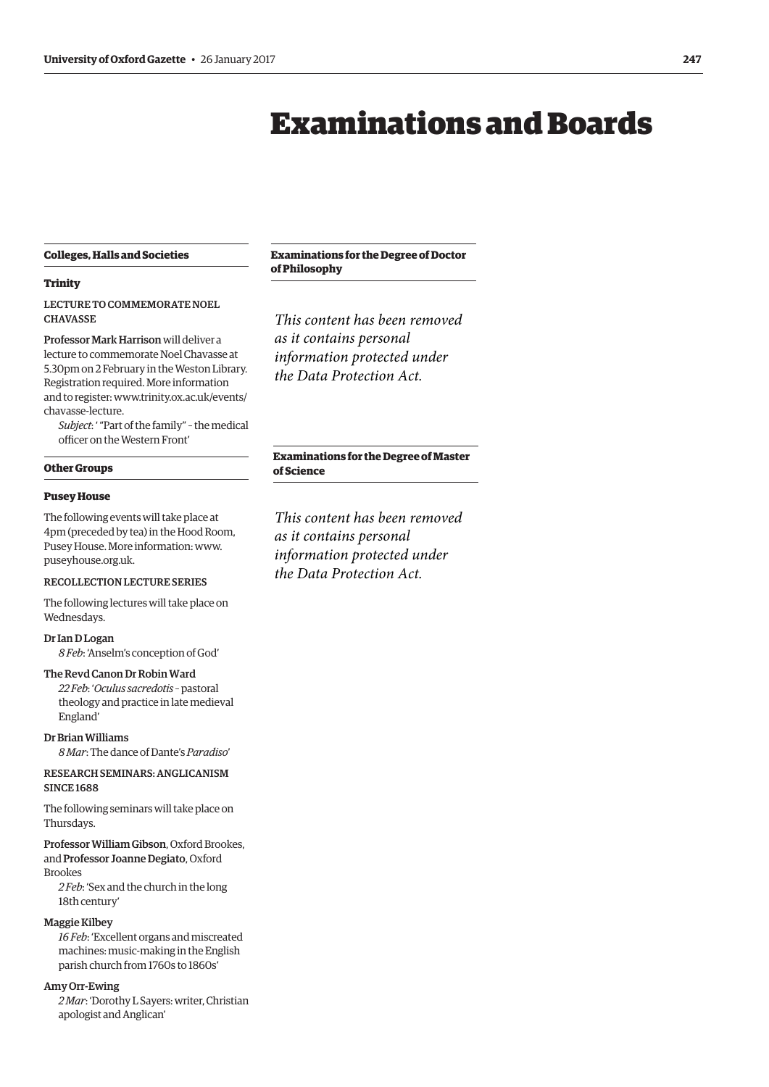# Examinations and Boards

# <span id="page-4-0"></span>**Colleges, Halls and Societies**

# **Trinity**

LECTURE TO COMMEMORATE NOEL **CHAVASSE** 

Professor Mark Harrison will deliver a lecture to commemorate Noel Chavasse at 5.30pm on 2 February in the Weston Library. Registration required. More information [and to register: www.trinity.ox.ac.uk/events/](www.trinity.ox.ac.uk/events/chavasse-lecture) chavasse-lecture.

*Subject*: ' "Part of the family" – the medical officer on the Western Front'

#### **Other Groups**

### **Pusey House**

The following events will take place at 4pm (preceded by tea) in the Hood Room, Pusey House. More information: [www.](http://www.puseyhouse.org.uk) [puseyhouse.org.uk.](http://www.puseyhouse.org.uk)

# RECOLLECTION LECTURE SERIES

The following lectures will take place on Wednesdays.

# Dr Ian D Logan

*8 Feb*: 'Anselm's conception of God'

# The Revd Canon Dr Robin Ward

*22 Feb*: '*Oculus sacredotis* – pastoral theology and practice in late medieval England'

Dr Brian Williams

*8 Mar*: The dance of Dante's *Paradiso*'

# RESEARCH SEMINARS: ANGLICANISM SINCE 1688

The following seminars will take place on Thursdays.

Professor William Gibson, Oxford Brookes, and Professor Joanne Degiato, Oxford Brookes

*2 Feb*: 'Sex and the church in the long 18th century'

# Maggie Kilbey

*16 Feb*: 'Excellent organs and miscreated machines: music-making in the English parish church from 1760s to 1860s'

# Amy Orr-Ewing

*2 Mar*: 'Dorothy L Sayers: writer, Christian apologist and Anglican'

**Examinations for the Degree of Doctor of Philosophy**

*This content has been removed as it contains personal information protected under the Data Protection Act.*

# **Examinations for the Degree of Master of Science**

*This content has been removed as it contains personal information protected under the Data Protection Act.*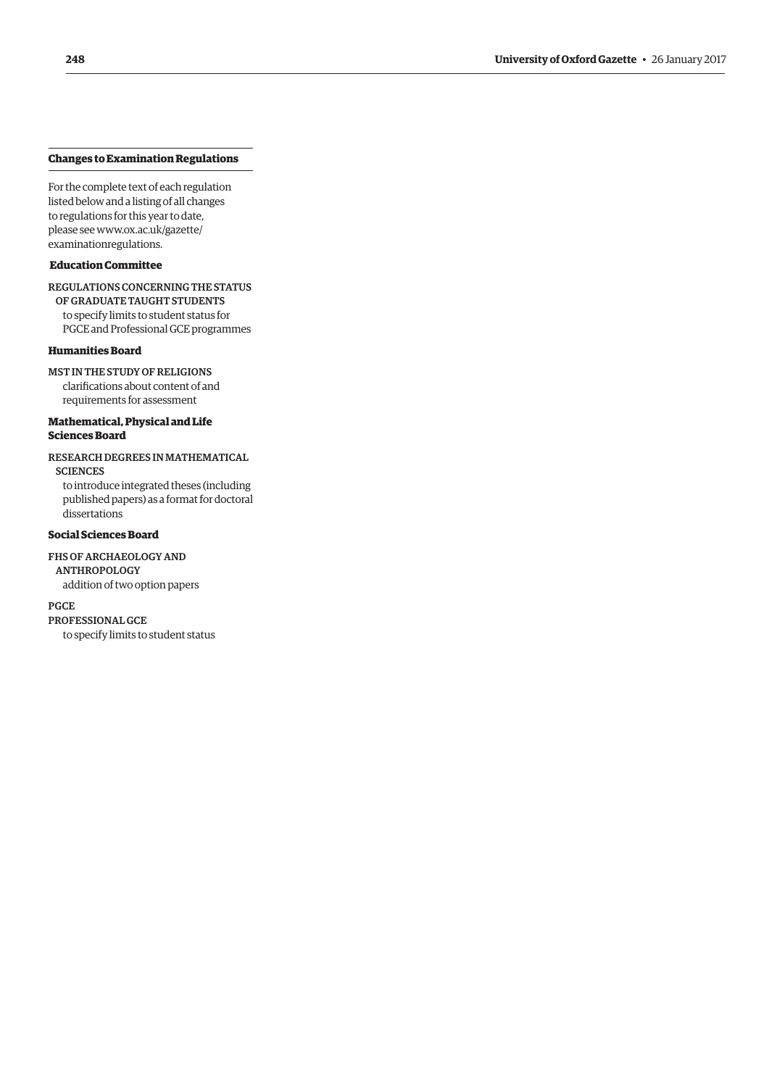#### **Changes to Examination Regulations**

For the complete text of each regulation listed below and a listing of all changes to regulations for this year to date, please see www.ox.ac.uk/gazette/ examinationregulations.

# **Education Committee**

REGULATIONS CONCERNING THE STATUS

OF GRADUATE TAUGHT STUDENTS to specify limits to student status for PGCE and Professional GCE programmes

#### **Humanities Board**

MST IN THE STUDY OF RELIGIONS clarifications about content of and requirements for assessment

# **Mathematical, Physical and Life Sciences Board**

RESEARCH DEGREES IN MATHEMATICAL **SCIENCES** 

to introduce integrated theses (including published papers) as a format for doctoral dissertations

# **Social Sciences Board**

FHS OF ARCHAEOLOGY AND ANTHROPOLOGY addition of two option papers

PGCE PROFESSIONAL GCE to specify limits to student status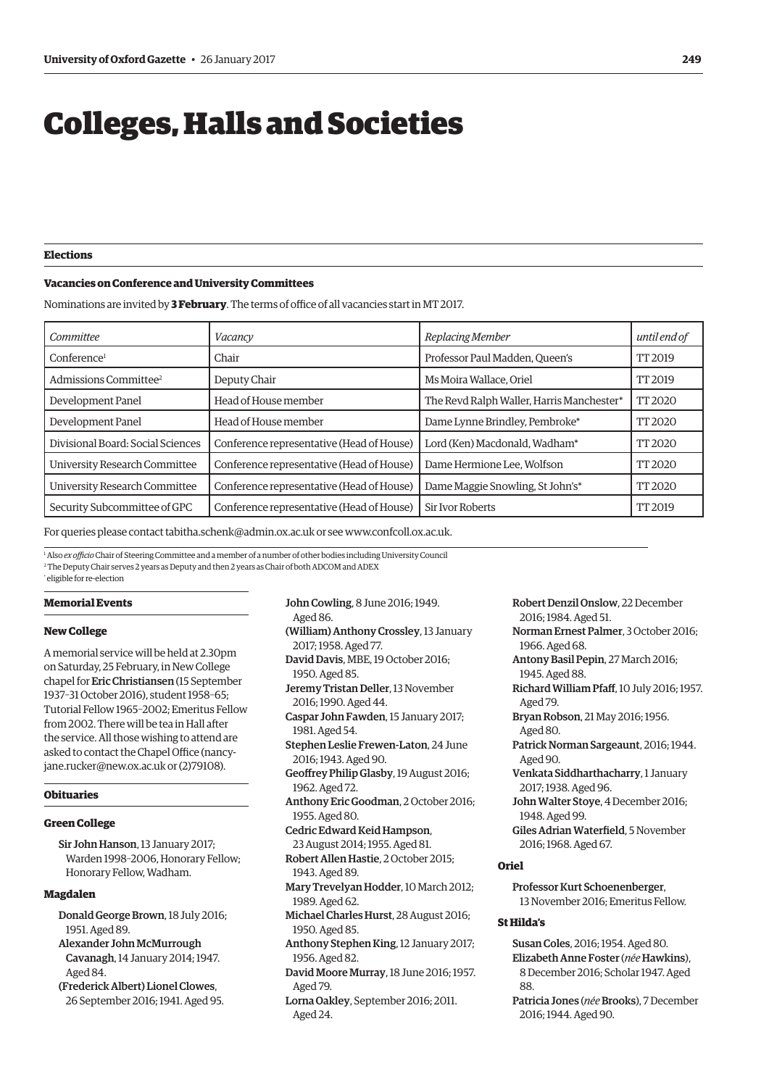# <span id="page-6-0"></span>Colleges, Halls and Societies

**Elections**

#### **Vacancies on Conference and University Committees**

Nominations are invited by **3 February**. The terms of office of all vacancies start in MT 2017.

| Committee                         | Vacancy                                   | Replacing Member                          | until end of  |
|-----------------------------------|-------------------------------------------|-------------------------------------------|---------------|
| Conference <sup>1</sup>           | Chair                                     | Professor Paul Madden, Queen's            | TT 2019       |
| Admissions Committee <sup>2</sup> | Deputy Chair                              | Ms Moira Wallace, Oriel                   | TT 2019       |
| Development Panel                 | Head of House member                      | The Revd Ralph Waller, Harris Manchester* | <b>TT2020</b> |
| Development Panel                 | Head of House member                      | Dame Lynne Brindley, Pembroke*            | TT 2020       |
| Divisional Board: Social Sciences | Conference representative (Head of House) | Lord (Ken) Macdonald, Wadham*             | TT 2020       |
| University Research Committee     | Conference representative (Head of House) | Dame Hermione Lee, Wolfson                | TT 2020       |
| University Research Committee     | Conference representative (Head of House) | Dame Maggie Snowling, St John's*          | TT 2020       |
| Security Subcommittee of GPC      | Conference representative (Head of House) | <b>Sir Ivor Roberts</b>                   | TT 2019       |

For queries please contact [tabitha.schenk@admin.ox.ac.uk or](mailto:tabitha.schenk@admin.ox.ac.uk) see [www.confcoll.ox.ac.uk.](http://www.confcoll.ox.ac.uk)

<sup>1</sup> Also *ex officio* Chair of Steering Committee and a member of a number of other bodies including University Council 2 The Deputy Chair serves 2 years as Deputy and then 2 years as Chair of both ADCOM and ADEX \* eligible for re-election

# **Memorial Events**

#### **New College**

A memorial service will be held at 2.30pm on Saturday, 25 February, in New College chapel for Eric Christiansen (15 September 1937–31 October 2016), student 1958–65; Tutorial Fellow 1965–2002; Emeritus Fellow from 2002. There will be tea in Hall after the service. All those wishing to attend are [asked to contact the Chapel Office \(nancy](mailto:nancy-jane.rucker@new.ox.ac.uk)jane.rucker@new.ox.ac.uk or (2)79108).

# **Obituaries**

#### **Green College**

Sir John Hanson, 13 January 2017; Warden 1998–2006, Honorary Fellow; Honorary Fellow, Wadham.

# **Magdalen**

- Donald George Brown, 18 July 2016; 1951. Aged 89.
- Alexander John McMurrough Cavanagh, 14 January 2014; 1947. Aged 84.
- (Frederick Albert) Lionel Clowes, 26 September 2016; 1941. Aged 95.
- John Cowling, 8 June 2016; 1949.
- Aged 86.
- (William) Anthony Crossley, 13 January 2017; 1958. Aged 77. David Davis, MBE, 19 October 2016;
- 1950. Aged 85. Jeremy Tristan Deller, 13 November
- 2016; 1990. Aged 44.
- Caspar John Fawden, 15 January 2017; 1981. Aged 54.
- Stephen Leslie Frewen-Laton, 24 June 2016; 1943. Aged 90.
- Geoffrey Philip Glasby, 19 August 2016; 1962. Aged 72.
- Anthony Eric Goodman, 2 October 2016; 1955. Aged 80.
- Cedric Edward Keid Hampson, 23 August 2014; 1955. Aged 81.
- Robert Allen Hastie, 2 October 2015; 1943. Aged 89.
- Mary Trevelyan Hodder, 10 March 2012; 1989. Aged 62.
- Michael Charles Hurst, 28 August 2016; 1950. Aged 85.
- Anthony Stephen King, 12 January 2017; 1956. Aged 82.
- David Moore Murray, 18 June 2016; 1957. Aged 79.
- Lorna Oakley, September 2016; 2011. Aged 24.

Robert Denzil Onslow, 22 December 2016; 1984. Aged 51.

- Norman Ernest Palmer, 3 October 2016; 1966. Aged 68.
- Antony Basil Pepin, 27 March 2016; 1945. Aged 88.
- Richard William Pfaff, 10 July 2016; 1957. Aged 79.
- Bryan Robson, 21 May 2016; 1956. Aged 80.
- Patrick Norman Sargeaunt, 2016; 1944. Aged 90.
- Venkata Siddharthacharry, 1 January 2017; 1938. Aged 96.
- John Walter Stoye, 4 December 2016; 1948. Aged 99.
- Giles Adrian Waterfield, 5 November 2016; 1968. Aged 67.

#### **Oriel**

Professor Kurt Schoenenberger, 13 November 2016; Emeritus Fellow.

#### **St Hilda's**

- Susan Coles, 2016; 1954. Aged 80. Elizabeth Anne Foster (*née* Hawkins), 8 December 2016; Scholar 1947. Aged 88
- Patricia Jones (*née* Brooks), 7 December 2016; 1944. Aged 90.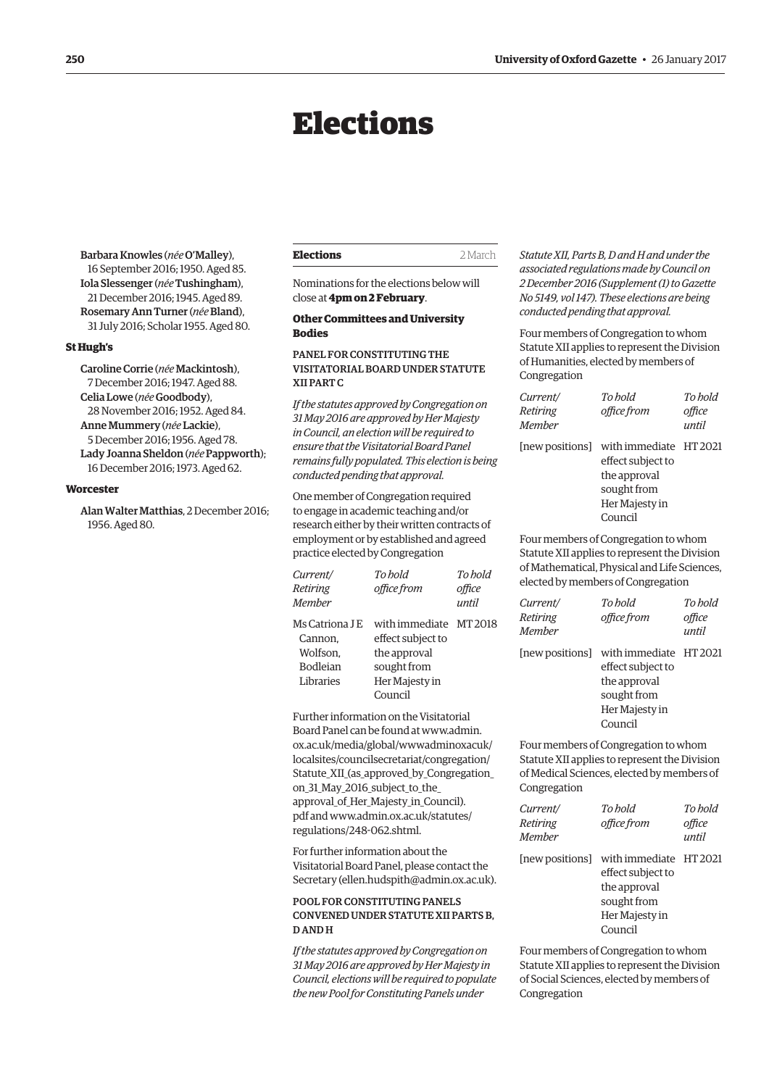# Elections

<span id="page-7-0"></span>Barbara Knowles (*née* O'Malley), 16 September 2016; 1950. Aged 85. Iola Slessenger (*née* Tushingham), 21 December 2016; 1945. Aged 89. Rosemary Ann Turner (*née* Bland), 31 July 2016; Scholar 1955. Aged 80.

# **St Hugh's**

Caroline Corrie (*née* Mackintosh), 7 December 2016; 1947. Aged 88. Celia Lowe (*née* Goodbody), 28 November 2016; 1952. Aged 84. Anne Mummery (*née* Lackie), 5 December 2016; 1956. Aged 78. Lady Joanna Sheldon (*née* Pappworth); 16 December 2016; 1973. Aged 62.

# **Worcester**

Alan Walter Matthias, 2 December 2016; 1956. Aged 80.

| Elections | 2 March |
|-----------|---------|
|-----------|---------|

Nominations for the elections below will close at **4pm on 2 February**.

# **Other Committees and University Bodies**

# PANEL FOR CONSTITUTING THE VISITATORIAL BOARD UNDER STATUTE XII PART C

*If the statutes approved by Congregation on 31 May 2016 are approved by Her Majesty in Council, an election will be required to ensure that the Visitatorial Board Panel remains fully populated. This election is being conducted pending that approval.*

One member of Congregation required to engage in academic teaching and/or research either by their written contracts of employment or by established and agreed practice elected by Congregation

| Current/                                | To hold               | To hold |
|-----------------------------------------|-----------------------|---------|
| Retiring                                | office from           | office  |
| <b>Member</b>                           |                       | until   |
| Ms Catriona J E                         | with immediate MT2018 |         |
| Cannon.                                 | effect subject to     |         |
| Wolfson,                                | the approval          |         |
| <b>Bodleian</b>                         | sought from           |         |
| Libraries                               | Her Majesty in        |         |
|                                         | Council               |         |
| Eurther information on the Visitatorial |                       |         |

Board Panel can be found at www.admin. ox.ac.uk/media/global/wwwadminoxacuk/ localsites/councilsecretariat/congregation/ [Statute\\_XII\\_\(as\\_approved\\_by\\_Congregation\\_](www.admin.ox.ac.uk/media/global/wwwadminoxacuk/localsites/councilsecretariat/congregation/Statute_XII_(as_approved_by_Congregation_on_31_May_2016_subject_to_the_approval_of_Her_Majesty_in_Council).pdf) on\_31\_May\_2016\_subject\_to\_the\_ approval\_of\_Her\_Majesty\_in\_Council). [pdf and www.admin.ox.ac.uk/statutes/](www.admin.ox.ac.uk/statutes/regulations/258-062.shtml) regulations/248-062.shtml.

For further information about the Visitatorial Board Panel, please contact the Secretary ([ellen.hudspith@admin.ox.ac.uk\).](mailto:ellen.hudspith@admin.ox.ac.uk)

# POOL FOR CONSTITUTING PANELS CONVENED UNDER STATUTE XII PARTS B, D AND H

*If the statutes approved by Congregation on 31 May 2016 are approved by Her Majesty in Council, elections will be required to populate the new Pool for Constituting Panels under* 

*Statute XII, Parts B, D and H and under the associated regulations made by Council on 2 December 2016 (Supplement (1) to Gazette No 5149, vol 147). These elections are being conducted pending that approval.*

Four members of Congregation to whom Statute XII applies to represent the Division of Humanities, elected by members of Congregation

| Current/<br>Retiring<br>Member | To hold<br>office from                                                                                                  | To hold<br>office<br>until |
|--------------------------------|-------------------------------------------------------------------------------------------------------------------------|----------------------------|
|                                | [new positions] with immediate HT 2021<br>effect subject to<br>the approval<br>sought from<br>Her Majesty in<br>Council |                            |

Four members of Congregation to whom Statute XII applies to represent the Division of Mathematical, Physical and Life Sciences, elected by members of Congregation

| Current/<br>Retiring<br>Member | To hold<br>office from                                                                                                  | To hold<br>office<br>until |
|--------------------------------|-------------------------------------------------------------------------------------------------------------------------|----------------------------|
|                                | [new positions] with immediate HT 2021<br>effect subject to<br>the approval<br>sought from<br>Her Majesty in<br>Council |                            |

Four members of Congregation to whom Statute XII applies to represent the Division of Medical Sciences, elected by members of Congregation

| Current/<br>Retiring<br>Member | To hold<br>office from                                                                                  | To hold<br>office<br>until |
|--------------------------------|---------------------------------------------------------------------------------------------------------|----------------------------|
| [new positions]                | with immediate HT 2021<br>effect subject to<br>the approval<br>sought from<br>Her Majesty in<br>Council |                            |

Four members of Congregation to whom Statute XII applies to represent the Division of Social Sciences, elected by members of Congregation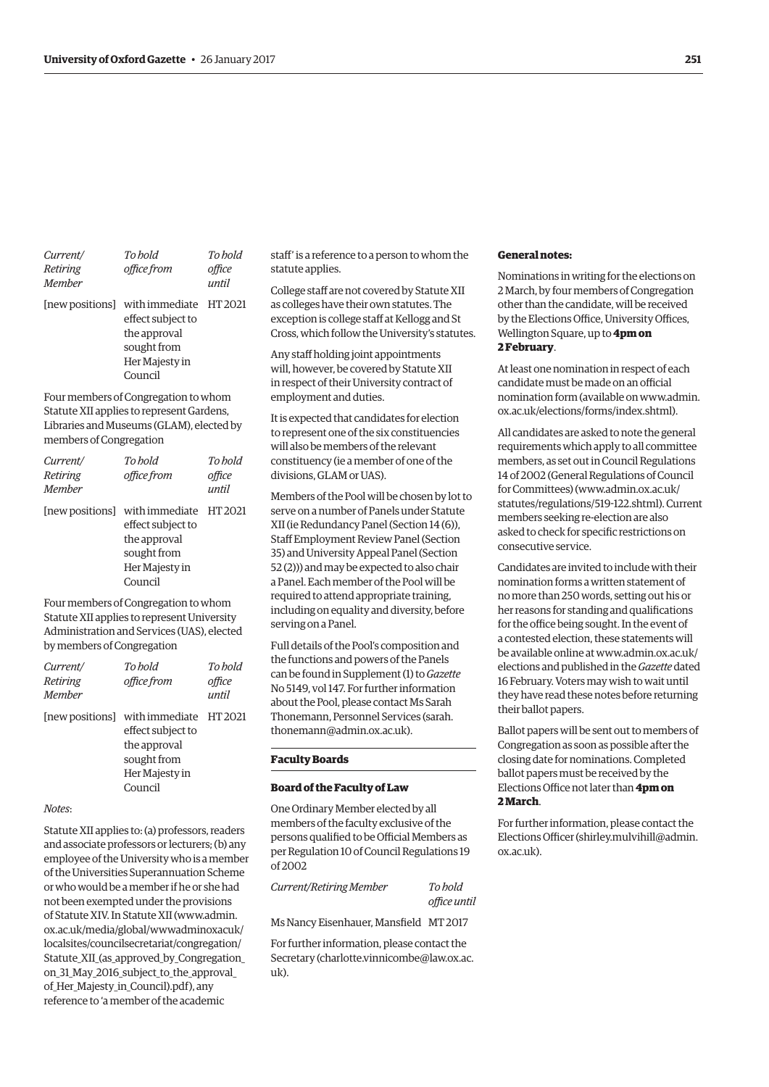| Current/<br>Retiring<br><b>Member</b> | To hold<br>office from                                                                                                  | To hold<br>office<br>until |
|---------------------------------------|-------------------------------------------------------------------------------------------------------------------------|----------------------------|
|                                       | [new positions] with immediate HT 2021<br>effect subject to<br>the approval<br>sought from<br>Her Majesty in<br>Council |                            |

Four members of Congregation to whom Statute XII applies to represent Gardens, Libraries and Museums (GLAM), elected by members of Congregation

| Current/<br>Retiring<br><b>Member</b> | To hold<br>office from                                                                                                  | To hold<br>office<br>until |
|---------------------------------------|-------------------------------------------------------------------------------------------------------------------------|----------------------------|
|                                       | [new positions] with immediate HT 2021<br>effect subject to<br>the approval<br>sought from<br>Her Majesty in<br>Council |                            |

Four members of Congregation to whom Statute XII applies to represent University Administration and Services (UAS), elected by members of Congregation

| Current/<br>Retiring<br><b>Member</b> | To hold<br>office from                                                                                                  | To hold<br>office<br>until |
|---------------------------------------|-------------------------------------------------------------------------------------------------------------------------|----------------------------|
|                                       | [new positions] with immediate HT 2021<br>effect subject to<br>the approval<br>sought from<br>Her Majesty in<br>Council |                            |

#### *Notes*:

Statute XII applies to: (a) professors, readers and associate professors or lecturers; (b) any employee of the University who is a member of the Universities Superannuation Scheme or who would be a member if he or she had not been exempted under the provisions of Statute XIV. In Statute XII (www.admin. ox.ac.uk/media/global/wwwadminoxacuk/ localsites/councilsecretariat/congregation/ [Statute\\_XII\\_\(as\\_approved\\_by\\_Congregation\\_](www.admin.ox.ac.uk/media/global/wwwadminoxacuk/localsites/councilsecretariat/congregation/Statute_XII_(as_approved_by_Congregation_on_31_May_2016_subject_to_the_approval_of_Her_Majesty_in_Council).pdf) on\_31\_May\_2016\_subject\_to\_the\_approval\_ of Her Majesty in Council).pdf), any reference to 'a member of the academic

staff' is a reference to a person to whom the statute applies.

College staff are not covered by Statute XII as colleges have their own statutes. The exception is college staff at Kellogg and St Cross, which follow the University's statutes.

Any staff holding joint appointments will, however, be covered by Statute XII in respect of their University contract of employment and duties.

It is expected that candidates for election to represent one of the six constituencies will also be members of the relevant constituency (ie a member of one of the divisions, GLAM or UAS).

Members of the Pool will be chosen by lot to serve on a number of Panels under Statute XII (ie Redundancy Panel (Section 14 (6)), Staff Employment Review Panel (Section 35) and University Appeal Panel (Section 52 (2))) and may be expected to also chair a Panel. Each member of the Pool will be required to attend appropriate training, including on equality and diversity, before serving on a Panel.

Full details of the Pool's composition and the functions and powers of the Panels can be found in Supplement (1) to *Gazette* No 5149, vol 147. For further information about the Pool, please contact Ms Sarah [Thonemann, Personnel Services \(sarah.](mailto:sarah.thonemann@admin.ox.ac.uk) thonemann@admin.ox.ac.uk).

# **Faculty Boards**

#### **Board of the Faculty of Law**

One Ordinary Member elected by all members of the faculty exclusive of the persons qualified to be Official Members as per Regulation 10 of Council Regulations 19 of 2002

*Current/Retiring Member To hold* 

*office until*

Ms Nancy Eisenhauer, Mansfield MT 2017

For further information, please contact the Secretary ([charlotte.vinnicombe@law.ox.ac.](mailto:charlotte.vinnicombe@law.ox.ac.uk)  $n\bar{k}$ 

#### **General notes:**

Nominations in writing for the elections on 2 March, by four members of Congregation other than the candidate, will be received by the Elections Office, University Offices, Wellington Square, up to **4pm on 2 February**.

At least one nomination in respect of each candidate must be made on an official [nomination form \(available on www.admin.](www.admin.ox.ac.uk/elections/forms/index.shtml) ox.ac.uk/elections/forms/index.shtml).

All candidates are asked to note the general requirements which apply to all committee members, as set out in Council Regulations 14 of 2002 (General Regulations of Council for Committees) ([www.admin.ox.ac.uk/](http://www.admin.ox.ac.uk/statutes/regulations/519-122.shtml) [statutes/regulations/519-122.shtml\). Cu](http://www.admin.ox.ac.uk/statutes/regulations/519-122.shtml)rrent members seeking re-election are also asked to check for specific restrictions on consecutive service.

Candidates are invited to include with their nomination forms a written statement of no more than 250 words, setting out his or her reasons for standing and qualifications for the office being sought. In the event of a contested election, these statements will [be available online at www.admin.ox.ac.uk/](www.admin.ox.ac.uk/elections) elections and published in the *Gazette* dated 16 February. Voters may wish to wait until they have read these notes before returning their ballot papers.

Ballot papers will be sent out to members of Congregation as soon as possible after the closing date for nominations. Completed ballot papers must be received by the Elections Office not later than **4pm on 2 March**.

For further information, please contact the Elections Officer [\(shirley.mulvihill@admin.](mailto:shirley.mulvihill@admin.ox.ac.uk) [ox.ac.uk\).](mailto:shirley.mulvihill@admin.ox.ac.uk)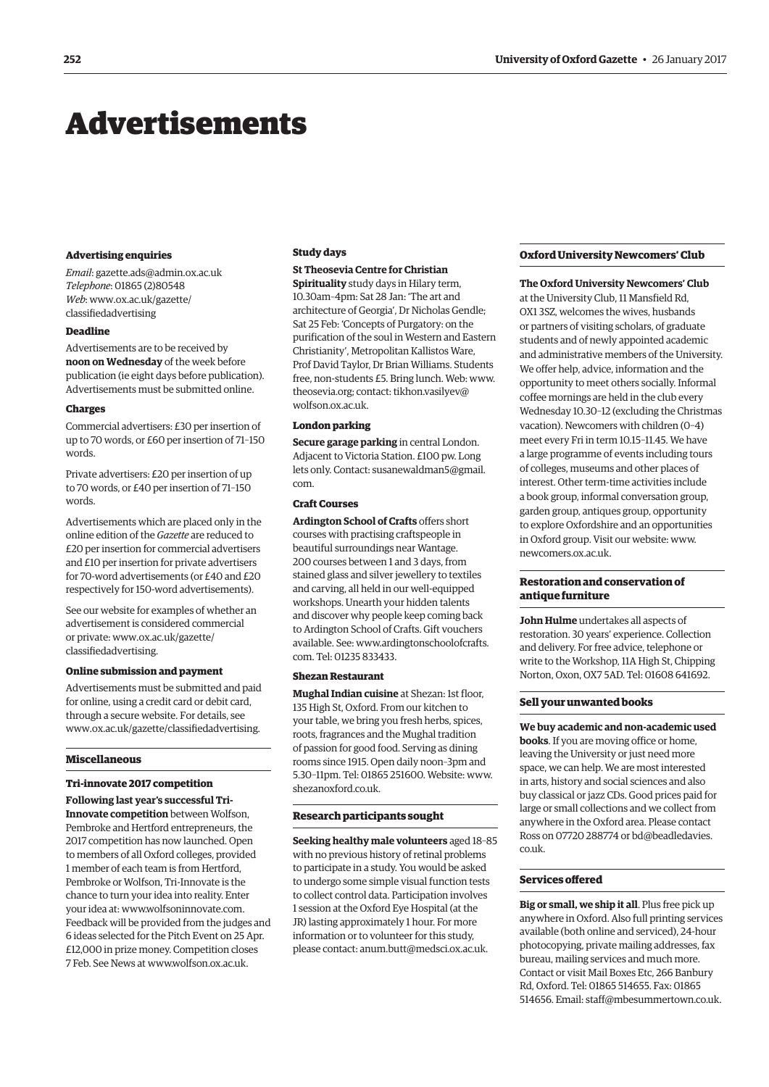# <span id="page-9-0"></span>Advertisements

#### **Advertising enquiries**

*Email*: [gazette.ads@admin.ox.ac.uk](mailto:gazette.ads@admin.ox.ac.uk) *Telephone*: 01865 (2)80548 *Web*[: www.ox.ac.uk/gazette/](www.ox.ac.uk/gazette/classifiedadvertising) classifiedadvertising

# **Deadline**

Advertisements are to be received by **noon on Wednesday** of the week before publication (ie eight days before publication). Advertisements must be submitted online.

#### **Charges**

Commercial advertisers: £30 per insertion of up to 70 words, or £60 per insertion of 71–150 words.

Private advertisers: £20 per insertion of up to 70 words, or £40 per insertion of 71–150 words.

Advertisements which are placed only in the online edition of the *Gazette* are reduced to £20 per insertion for commercial advertisers and £10 per insertion for private advertisers for 70-word advertisements (or £40 and £20 respectively for 150-word advertisements).

See our website for examples of whether an advertisement is considered commercial [or private: www.ox.ac.uk/gazette/](www.ox.ac.uk/gazette/classifiedadvertising) classifiedadvertising.

# **Online submission and payment**

Advertisements must be submitted and paid for online, using a credit card or debit card, through a secure website. For details, see [www.ox.ac.uk/gazette/classifiedadvertising.](http://www.ox.ac.uk/gazette/classifiedadvertising)

# **Miscellaneous**

# **Tri-innovate 2017 competition**

**Following last year's successful Tri-Innovate competition** between Wolfson, Pembroke and Hertford entrepreneurs, the 2017 competition has now launched. Open to members of all Oxford colleges, provided 1 member of each team is from Hertford, Pembroke or Wolfson, Tri-Innovate is the chance to turn your idea into reality. Enter your idea at: [www.wolfsoninnovate.com.](http://www.wolfsoninnovate.com)  Feedback will be provided from the judges and 6 ideas selected for the Pitch Event on 25 Apr. £12,000 in prize money. Competition closes 7 Feb. See News at [www.wolfson.ox.ac.uk.](http://www.wolfson.ox.ac.uk)

#### **Study days**

# **St Theosevia Centre for Christian**

**Spirituality** study days in Hilary term, 10.30am–4pm: Sat 28 Jan: 'The art and architecture of Georgia', Dr Nicholas Gendle; Sat 25 Feb: 'Concepts of Purgatory: on the purification of the soul in Western and Eastern Christianity', Metropolitan Kallistos Ware, Prof David Taylor, Dr Brian Williams. Students free, non-students £5. Bring lunch. Web: [www.](http://www.theosevia.org) [theosevia.org; co](http://www.theosevia.org)nt[act: tikhon.vasilyev@](mailto:tikhon.vasilyev@wolfson.ox.ac.uk) wolfson.ox.ac.uk.

#### **London parking**

**Secure garage parking** in central London. Adjacent to Victoria Station. £100 pw. Long [lets only. Contact: susanewaldman5@gmail.](mailto:susanewaldman5@gmail.com) com.

## **Craft Courses**

**Ardington School of Crafts** offers short courses with practising craftspeople in beautiful surroundings near Wantage. 200 courses between 1 and 3 days, from stained glass and silver jewellery to textiles and carving, all held in our well-equipped workshops. Unearth your hidden talents and discover why people keep coming back to Ardington School of Crafts. Gift vouchers [available. See: www.ardingtonschoolofcrafts.](www.ardingtonschoolofcrafts.com) com. Tel: 01235 833433.

#### **Shezan Restaurant**

**Mughal Indian cuisine** at Shezan: 1st floor, 135 High St, Oxford. From our kitchen to your table, we bring you fresh herbs, spices, roots, fragrances and the Mughal tradition of passion for good food. Serving as dining rooms since 1915. Open daily noon–3pm and 5.30–11pm. Tel: 01865 251600. Website: [www.](http://www.shezanoxford.co.uk) [shezanoxford.co.uk.](http://www.shezanoxford.co.uk)

#### **Research participants sought**

**Seeking healthy male volunteers** aged 18–85 with no previous history of retinal problems to participate in a study. You would be asked to undergo some simple visual function tests to collect control data. Participation involves 1 session at the Oxford Eye Hospital (at the JR) lasting approximately 1 hour. For more information or to volunteer for this study, please contact: [anum.butt@medsci.ox.ac.uk.](mailto:anum.butt@medsci.ox.ac.uk)

# **Oxford University Newcomers' Club**

**The Oxford University Newcomers' Club**

at the University Club, 11 Mansfield Rd, OX1 3SZ, welcomes the wives, husbands or partners of visiting scholars, of graduate students and of newly appointed academic and administrative members of the University. We offer help, advice, information and the opportunity to meet others socially. Informal coffee mornings are held in the club every Wednesday 10.30–12 (excluding the Christmas vacation). Newcomers with children (0–4) meet every Fri in term 10.15–11.45. We have a large programme of events including tours of colleges, museums and other places of interest. Other term-time activities include a book group, informal conversation group, garden group, antiques group, opportunity to explore Oxfordshire and an opportunities in Oxford group. Visit our website: [www.](http://www.newcomers.ox.ac.uk) [newcomers.ox.ac.uk.](http://www.newcomers.ox.ac.uk)

# **Restoration and conservation of antique furniture**

**John Hulme** undertakes all aspects of restoration. 30 years' experience. Collection and delivery. For free advice, telephone or write to the Workshop, 11A High St, Chipping Norton, Oxon, OX7 5AD. Tel: 01608 641692.

# **Sell your unwanted books**

**We buy academic and non-academic used books**. If you are moving office or home, leaving the University or just need more space, we can help. We are most interested in arts, history and social sciences and also buy classical or jazz CDs. Good prices paid for large or small collections and we collect from anywhere in the Oxford area. Please contact [Ross on 07720 288774 or bd@beadledavies.](mailto:bd@beadledavies.co.uk) co.uk.

#### **Services offered**

**Big or small, we ship it all**. Plus free pick up anywhere in Oxford. Also full printing services available (both online and serviced), 24-hour photocopying, private mailing addresses, fax bureau, mailing services and much more. Contact or visit Mail Boxes Etc, 266 Banbury Rd, Oxford. Tel: 01865 514655. Fax: 01865 514656. Email: [staff@mbesummertown.co.uk.](mailto:staff@mbesummertown.co.uk)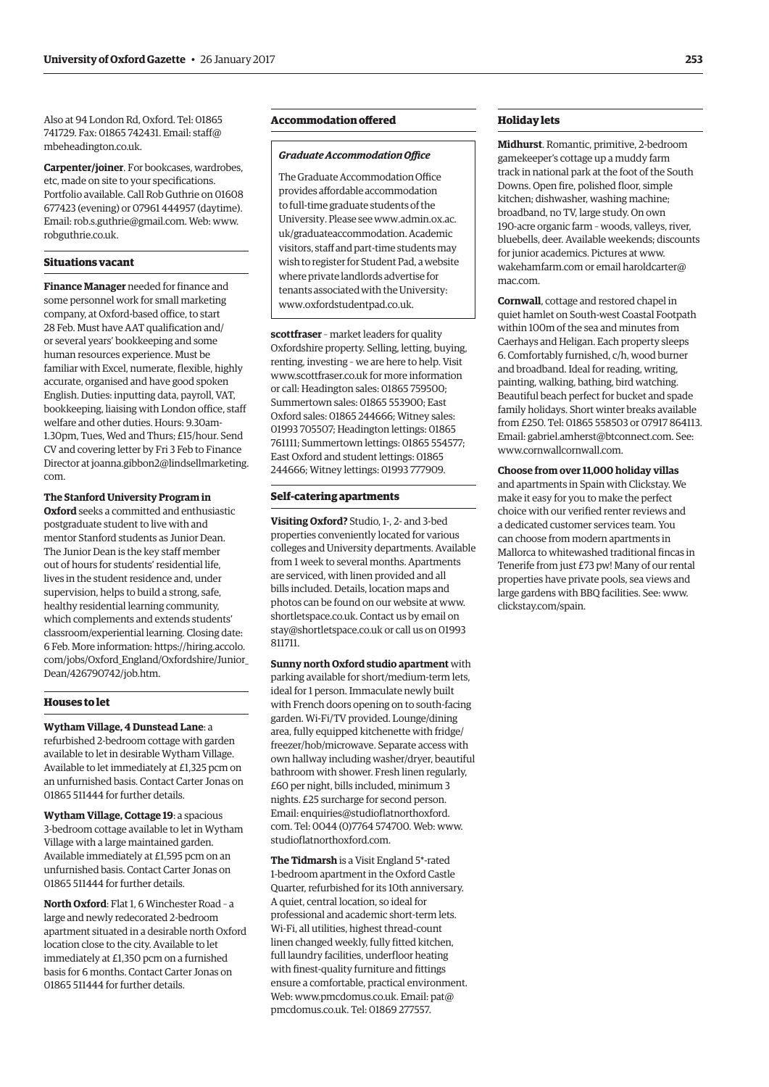Also at 94 London Rd, Oxford. Tel: 01865 [741729. Fax: 01865 742431. Email: staff@](mailto:staff@mbeheadington.co.uk) mbeheadington.co.uk.

**Carpenter/joiner**. For bookcases, wardrobes, etc, made on site to your specifications. Portfolio available. Call Rob Guthrie on 01608 677423 (evening) or 07961 444957 (daytime). Email: [rob.s.guthrie@gmail.com. W](mailto:rob.s.guthrie@gmail.com)eb: [www.](http://www.robguthrie.co.uk) [robguthrie.co.uk.](http://www.robguthrie.co.uk)

# **Situations vacant**

**Finance Manager** needed for finance and some personnel work for small marketing company, at Oxford-based office, to start 28 Feb. Must have AAT qualification and/ or several years' bookkeeping and some human resources experience. Must be familiar with Excel, numerate, flexible, highly accurate, organised and have good spoken English. Duties: inputting data, payroll, VAT, bookkeeping, liaising with London office, staff welfare and other duties. Hours: 9.30am-1.30pm, Tues, Wed and Thurs; £15/hour. Send CV and covering letter by Fri 3 Feb to Finance [Director at joanna.gibbon2@lindsellmarketing.](mailto:joanna.gibbon2@lindsellmarketing.com) com.

**The Stanford University Program in Oxford** seeks a committed and enthusiastic postgraduate student to live with and mentor Stanford students as Junior Dean. The Junior Dean is the key staff member out of hours for students' residential life, lives in the student residence and, under supervision, helps to build a strong, safe, healthy residential learning community, which complements and extends students' classroom/experiential learning. Closing date: 6 Feb. More information: https://hiring.accolo. [com/jobs/Oxford\\_England/Oxfordshire/Junior\\_](https://hiring.accolo.com/jobs/Oxford_England/Oxfordshire/Junior_Dean/426790742/job.htm) Dean/426790742/job.htm.

# **Houses to let**

**Wytham Village, 4 Dunstead Lane**: a refurbished 2-bedroom cottage with garden available to let in desirable Wytham Village. Available to let immediately at £1,325 pcm on an unfurnished basis. Contact Carter Jonas on 01865 511444 for further details.

**Wytham Village, Cottage 19**: a spacious 3-bedroom cottage available to let in Wytham Village with a large maintained garden. Available immediately at £1,595 pcm on an unfurnished basis. Contact Carter Jonas on 01865 511444 for further details.

**North Oxford**: Flat 1, 6 Winchester Road – a large and newly redecorated 2-bedroom apartment situated in a desirable north Oxford location close to the city. Available to let immediately at £1,350 pcm on a furnished basis for 6 months. Contact Carter Jonas on 01865 511444 for further details.

# **Accommodation offered**

#### *Graduate Accommodation Office*

The Graduate Accommodation Office provides affordable accommodation to full-time graduate students of the [University. Please see www.admin.ox.ac.](www.admin.ox.ac.uk/graduateaccommodation) uk/graduateaccommodation. Academic visitors, staff and part-time students may wish to register for Student Pad, a website where private landlords advertise for tenants associated with the University: [www.oxfordstudentpad.co.uk.](http://www.oxfordstudentpad.co.uk)

**scottfraser** – market leaders for quality Oxfordshire property. Selling, letting, buying, renting, investing – we are here to help. Visit [www.scottfraser.co.uk fo](http://www.scottfraser.co.uk)r more information or call: Headington sales: 01865 759500; Summertown sales: 01865 553900; East Oxford sales: 01865 244666; Witney sales: 01993 705507; Headington lettings: 01865 761111; Summertown lettings: 01865 554577; East Oxford and student lettings: 01865 244666; Witney lettings: 01993 777909.

# **Self-catering apartments**

**Visiting Oxford?** Studio, 1-, 2- and 3-bed properties conveniently located for various colleges and University departments. Available from 1 week to several months. Apartments are serviced, with linen provided and all bills included. Details, location maps and photos can be found on our website at [www.](http://www.shortletspace.co.uk) [shortletspace.co.uk. Co](http://www.shortletspace.co.uk)ntact us by email on [stay@shortletspace.co.uk or](mailto:stay@shortletspace.co.uk) call us on 01993 811711.

**Sunny north Oxford studio apartment** with parking available for short/medium-term lets, ideal for 1 person. Immaculate newly built with French doors opening on to south-facing garden. Wi-Fi/TV provided. Lounge/dining area, fully equipped kitchenette with fridge/ freezer/hob/microwave. Separate access with own hallway including washer/dryer, beautiful bathroom with shower. Fresh linen regularly, £60 per night, bills included, minimum 3 nights. £25 surcharge for second person. [Email: enquiries@studioflatnorthoxford.](mailto:enquiries@studioflatnorthoxford.com) com. Tel: 0044 (0)7764 574700. Web: [www.](http://www.studioflatnorthoxford.com) [studioflatnorthoxford.com.](http://www.studioflatnorthoxford.com)

**The Tidmarsh** is a Visit England 5\*-rated 1-bedroom apartment in the Oxford Castle Quarter, refurbished for its 10th anniversary. A quiet, central location, so ideal for professional and academic short-term lets. Wi-Fi, all utilities, highest thread-count linen changed weekly, fully fitted kitchen, full laundry facilities, underfloor heating with finest-quality furniture and fittings ensure a comfortable, practical environment. Web: [www.pmcdomus.co.uk. Em](http://www.pmcdomus.co.uk)ail: pat@ [pmcdomus.co.uk. Tel: 0](mailto:pat@pmcdomus.co.uk)1869 277557.

# **Holiday lets**

**Midhurst**. Romantic, primitive, 2-bedroom gamekeeper's cottage up a muddy farm track in national park at the foot of the South Downs. Open fire, polished floor, simple kitchen; dishwasher, washing machine; broadband, no TV, large study. On own 190-acre organic farm – woods, valleys, river, bluebells, deer. Available weekends; discounts for junior academics. Pictures at [www.](http://www.wakehamfarm.com) [wakehamfarm.com or](http://www.wakehamfarm.com) [email haroldcarter@](mailto:haroldcarter@mac.com) mac.com.

**Cornwall**, cottage and restored chapel in quiet hamlet on South-west Coastal Footpath within 100m of the sea and minutes from Caerhays and Heligan. Each property sleeps 6. Comfortably furnished, c/h, wood burner and broadband. Ideal for reading, writing, painting, walking, bathing, bird watching. Beautiful beach perfect for bucket and spade family holidays. Short winter breaks available from £250. Tel: 01865 558503 or 07917 864113. Email: [gabriel.amherst@btconnect.com. Se](mailto:gabriel.amherst@btconnect.com)e: [www.cornwallcornwall.com.](http://www.cornwallcornwall.com)

# **Choose from over 11,000 holiday villas**

and apartments in Spain with Clickstay. We make it easy for you to make the perfect choice with our verified renter reviews and a dedicated customer services team. You can choose from modern apartments in Mallorca to whitewashed traditional fincas in Tenerife from just £73 pw! Many of our rental properties have private pools, sea views and large gardens with BBQ facilities. See: [www.](http://www.clickstay.com/spain) [clickstay.com/spain.](http://www.clickstay.com/spain)